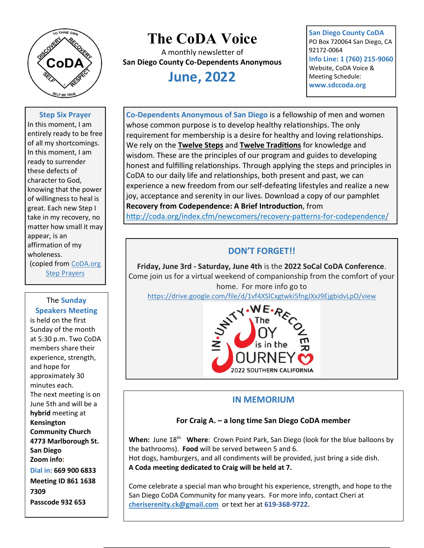

# The CoDA Voice

A monthly newsletter of San Diego County Co-Dependents Anonymous

# June, 2022

San Diego County CoDA PO Box 720064 San Diego, CA 92172-0064 Info Line: 1 (760) 215-9060 Website, CoDA Voice & Meeting Schedule: www.sdccoda.org

#### Step Six Prayer

In this moment, I am entirely ready to be free of all my shortcomings. In this moment, I am ready to surrender these defects of character to God, knowing that the power of willingness to heal is great. Each new Step I take in my recovery, no matter how small it may appear, is an affirmation of my wholeness. (copied from CoDA.org **Step Prayers** 

The Sunday Speakers Meeting is held on the first Sunday of the month at 5:30 p.m. Two CoDA members share their experience, strength, and hope for approximately 30 minutes each. The next meeting is on June 5th and will be a hybrid meeting at Kensington Community Church 4773 Marlborough St. San Diego Zoom info: Dial in: 669 900 6833 Meeting ID 861 1638 7309 Passcode 932 653

Co-Dependents Anonymous of San Diego is a fellowship of men and women whose common purpose is to develop healthy relationships. The only requirement for membership is a desire for healthy and loving relationships. We rely on the Twelve Steps and Twelve Traditions for knowledge and wisdom. These are the principles of our program and guides to developing honest and fulfilling relationships. Through applying the steps and principles in CoDA to our daily life and relationships, both present and past, we can experience a new freedom from our self-defeating lifestyles and realize a new joy, acceptance and serenity in our lives. Download a copy of our pamphlet Recovery from Codependence: A Brief Introduction, from

http://coda.org/index.cfm/newcomers/recovery-patterns-for-codependence/

## DON'T FORGET!!

Friday, June 3rd - Saturday, June 4th is the 2022 SoCal CoDA Conference. Come join us for a virtual weekend of companionship from the comfort of your home. For more info go to

https://drive.google.com/file/d/1vf4XSlCxgtwki5fngJXxJ9EjgbidvLpO/view



### IN MEMORIUM

#### For Craig A. – a long time San Diego CoDA member

When: June 18<sup>th</sup> Where: Crown Point Park, San Diego (look for the blue balloons by the bathrooms). Food will be served between 5 and 6.

Hot dogs, hamburgers, and all condiments will be provided, just bring a side dish. A Coda meeting dedicated to Craig will be held at 7.

Come celebrate a special man who brought his experience, strength, and hope to the San Diego CoDA Community for many years. For more info, contact Cheri at cheriserenity.ck@gmail.com or text her at 619-368-9722.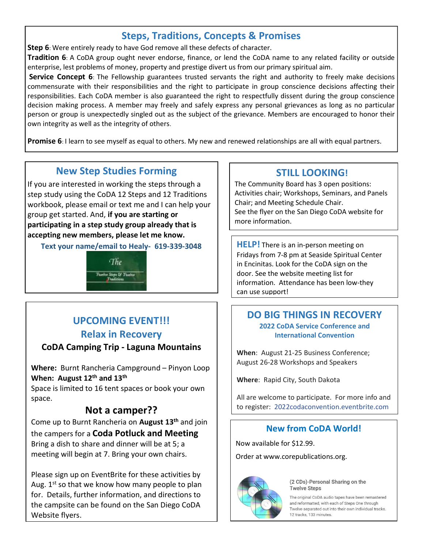# Steps, Traditions, Concepts & Promises

Step 6: Were entirely ready to have God remove all these defects of character.

Tradition 6: A CoDA group ought never endorse, finance, or lend the CoDA name to any related facility or outside enterprise, lest problems of money, property and prestige divert us from our primary spiritual aim.

Service Concept 6: The Fellowship guarantees trusted servants the right and authority to freely make decisions commensurate with their responsibilities and the right to participate in group conscience decisions affecting their responsibilities. Each CoDA member is also guaranteed the right to respectfully dissent during the group conscience decision making process. A member may freely and safely express any personal grievances as long as no particular person or group is unexpectedly singled out as the subject of the grievance. Members are encouraged to honor their own integrity as well as the integrity of others.

**Promise 6:** I learn to see myself as equal to others. My new and renewed relationships are all with equal partners.

# New Step Studies Forming

If you are interested in working the steps through a step study using the CoDA 12 Steps and 12 Traditions workbook, please email or text me and I can help your group get started. And, if you are starting or participating in a step study group already that is accepting new members, please let me know.

Text your name/email to Healy- 619-339-3048



# UPCOMING EVENT!!! Relax in Recovery

### CoDA Camping Trip - Laguna Mountains

Where: Burnt Rancheria Campground – Pinyon Loop When: August 12<sup>th</sup> and 13<sup>th</sup>

Space is limited to 16 tent spaces or book your own space.

# Not a camper??

Come up to Burnt Rancheria on August 13<sup>th</sup> and join the campers for a **Coda Potluck and Meeting** Bring a dish to share and dinner will be at 5; a meeting will begin at 7. Bring your own chairs.

Please sign up on EventBrite for these activities by Aug.  $1^{st}$  so that we know how many people to plan for. Details, further information, and directions to the campsite can be found on the San Diego CoDA Website flyers.

# STILL LOOKING!

The Community Board has 3 open positions: Activities chair; Workshops, Seminars, and Panels Chair; and Meeting Schedule Chair. See the flyer on the San Diego CoDA website for more information.

**HELP!** There is an in-person meeting on Fridays from 7-8 pm at Seaside Spiritual Center in Encinitas. Look for the CoDA sign on the door. See the website meeting list for information. Attendance has been low-they can use support!

### DO BIG THINGS IN RECOVERY 2022 CoDA Service Conference and International Convention

When: August 21-25 Business Conference; August 26-28 Workshops and Speakers

Where: Rapid City, South Dakota

All are welcome to participate. For more info and to register: 2022codaconvention.eventbrite.com

## New from CoDA World!

Now available for \$12.99.

Order at www.corepublications.org.



(2 CDs)-Personal Sharing on the **Twelve Steps** 

The original CoDA audio tapes have been remastered and reformatted, with each of Steps One through Twelve separated out into their own individual tracks. 12 tracks, 133 minutes.